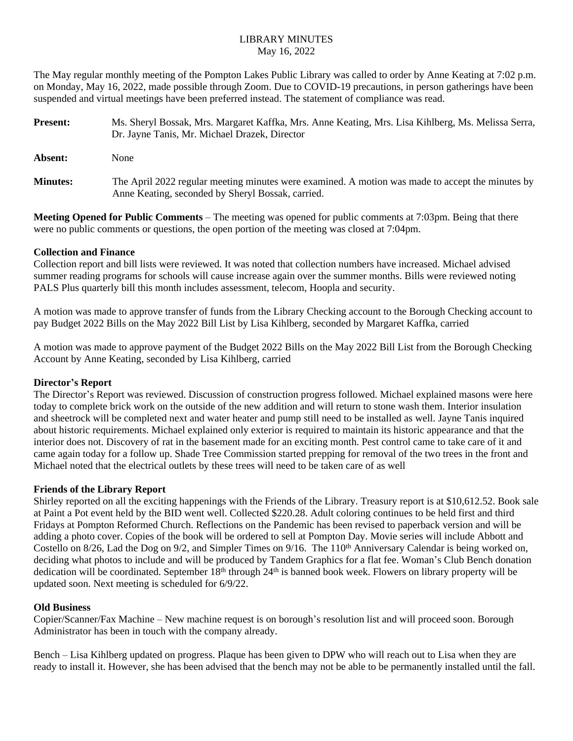# LIBRARY MINUTES May 16, 2022

The May regular monthly meeting of the Pompton Lakes Public Library was called to order by Anne Keating at 7:02 p.m. on Monday, May 16, 2022, made possible through Zoom. Due to COVID-19 precautions, in person gatherings have been suspended and virtual meetings have been preferred instead. The statement of compliance was read.

| <b>Present:</b> | Ms. Sheryl Bossak, Mrs. Margaret Kaffka, Mrs. Anne Keating, Mrs. Lisa Kihlberg, Ms. Melissa Serra,<br>Dr. Jayne Tanis, Mr. Michael Drazek, Director   |
|-----------------|-------------------------------------------------------------------------------------------------------------------------------------------------------|
| Absent:         | None                                                                                                                                                  |
| <b>Minutes:</b> | The April 2022 regular meeting minutes were examined. A motion was made to accept the minutes by<br>Anne Keating, seconded by Sheryl Bossak, carried. |

**Meeting Opened for Public Comments** – The meeting was opened for public comments at 7:03pm. Being that there were no public comments or questions, the open portion of the meeting was closed at 7:04pm.

## **Collection and Finance**

Collection report and bill lists were reviewed. It was noted that collection numbers have increased. Michael advised summer reading programs for schools will cause increase again over the summer months. Bills were reviewed noting PALS Plus quarterly bill this month includes assessment, telecom, Hoopla and security.

A motion was made to approve transfer of funds from the Library Checking account to the Borough Checking account to pay Budget 2022 Bills on the May 2022 Bill List by Lisa Kihlberg, seconded by Margaret Kaffka, carried

A motion was made to approve payment of the Budget 2022 Bills on the May 2022 Bill List from the Borough Checking Account by Anne Keating, seconded by Lisa Kihlberg, carried

## **Director's Report**

The Director's Report was reviewed. Discussion of construction progress followed. Michael explained masons were here today to complete brick work on the outside of the new addition and will return to stone wash them. Interior insulation and sheetrock will be completed next and water heater and pump still need to be installed as well. Jayne Tanis inquired about historic requirements. Michael explained only exterior is required to maintain its historic appearance and that the interior does not. Discovery of rat in the basement made for an exciting month. Pest control came to take care of it and came again today for a follow up. Shade Tree Commission started prepping for removal of the two trees in the front and Michael noted that the electrical outlets by these trees will need to be taken care of as well

## **Friends of the Library Report**

Shirley reported on all the exciting happenings with the Friends of the Library. Treasury report is at \$10,612.52. Book sale at Paint a Pot event held by the BID went well. Collected \$220.28. Adult coloring continues to be held first and third Fridays at Pompton Reformed Church. Reflections on the Pandemic has been revised to paperback version and will be adding a photo cover. Copies of the book will be ordered to sell at Pompton Day. Movie series will include Abbott and Costello on 8/26, Lad the Dog on 9/2, and Simpler Times on 9/16. The 110<sup>th</sup> Anniversary Calendar is being worked on, deciding what photos to include and will be produced by Tandem Graphics for a flat fee. Woman's Club Bench donation dedication will be coordinated. September 18<sup>th</sup> through 24<sup>th</sup> is banned book week. Flowers on library property will be updated soon. Next meeting is scheduled for 6/9/22.

#### **Old Business**

Copier/Scanner/Fax Machine – New machine request is on borough's resolution list and will proceed soon. Borough Administrator has been in touch with the company already.

Bench – Lisa Kihlberg updated on progress. Plaque has been given to DPW who will reach out to Lisa when they are ready to install it. However, she has been advised that the bench may not be able to be permanently installed until the fall.